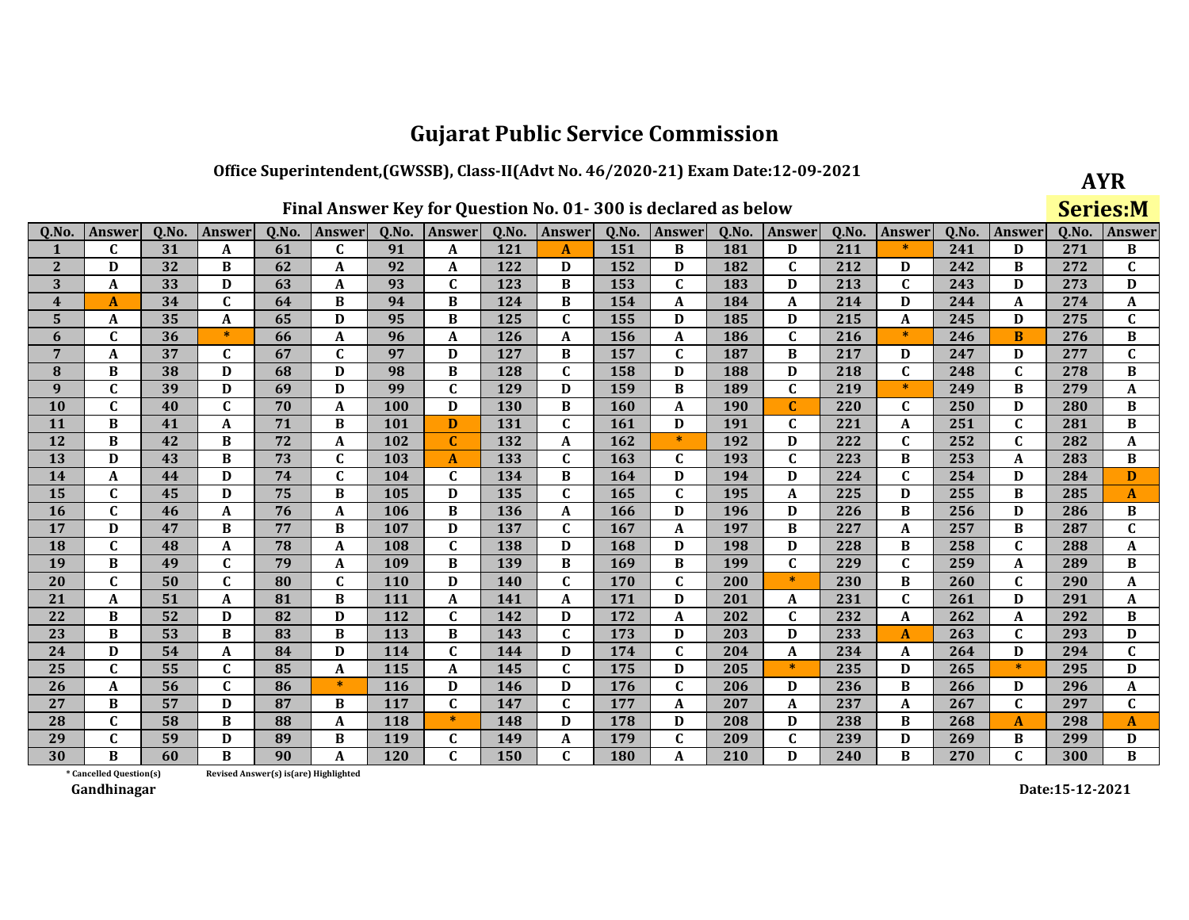### Office Superintendent, (GWSSB), Class-II(Advt No. 46/2020-21) Exam Date:12-09-2021

| Final Answer Key for Question No. 01-300 is declared as below |  |  |  |  |
|---------------------------------------------------------------|--|--|--|--|
|---------------------------------------------------------------|--|--|--|--|

| AYR              |
|------------------|
| eries<br>М<br>S, |

| 0.No.                   | Answer                  | 0.No. | Answer       | 0.No.                                 | Answer       | 0.No.      | Answer       | 0.No. | Answer       | 0.No. | Answer       | 0.No.      | Answer       | 0.No. | Answer       | 0.No. | <b>Answer</b> | 0.No. | Answer       |
|-------------------------|-------------------------|-------|--------------|---------------------------------------|--------------|------------|--------------|-------|--------------|-------|--------------|------------|--------------|-------|--------------|-------|---------------|-------|--------------|
| 1                       | C                       | 31    | A            | 61                                    | C            | 91         | A            | 121   | A            | 151   | B            | 181        | D            | 211   | $\ast$       | 241   | D             | 271   | B            |
| $\mathbf{2}$            | D                       | 32    | B            | 62                                    | A            | 92         | A            | 122   | D            | 152   | D            | 182        | $\mathbf{C}$ | 212   | D            | 242   | В             | 272   | C            |
| 3                       | A                       | 33    | D            | 63                                    | A            | 93         | $\mathbf C$  | 123   | B            | 153   | $\mathbf{C}$ | 183        | D            | 213   | $\mathbf{C}$ | 243   | D             | 273   | D            |
| $\overline{\mathbf{4}}$ | A                       | 34    | $\mathbf C$  | 64                                    | B            | 94         | B            | 124   | B            | 154   | A            | 184        | A            | 214   | D            | 244   | A             | 274   | A            |
| 5                       | A                       | 35    | A            | 65                                    | D            | 95         | B            | 125   | $\mathbf{C}$ | 155   | D            | 185        | D            | 215   | A            | 245   | D             | 275   | C            |
| 6                       | C                       | 36    | $\ast$       | 66                                    | A            | 96         | A            | 126   | A            | 156   | A            | <b>186</b> | $\mathbf{C}$ | 216   | $\ast$       | 246   | B             | 276   | B            |
| 7                       | A                       | 37    | $\mathbf{C}$ | 67                                    | $\mathbf{C}$ | 97         | D            | 127   | B            | 157   | $\mathbf C$  | 187        | B            | 217   | D            | 247   | D             | 277   | $\mathbf{C}$ |
| 8                       | B                       | 38    | D            | 68                                    | D            | 98         | B            | 128   | $\mathbf{C}$ | 158   | D            | 188        | D            | 218   | $\mathbf{C}$ | 248   | $\mathbf{C}$  | 278   | B            |
| 9                       | $\mathbf{C}$            | 39    | D            | 69                                    | D            | 99         | $\mathbf{C}$ | 129   | D            | 159   | B            | 189        | $\mathbf{C}$ | 219   | $\ast$       | 249   | B             | 279   | A            |
| 10                      | $\overline{\mathsf{c}}$ | 40    | $\mathbf{C}$ | 70                                    | A            | 100        | D            | 130   | B            | 160   | A            | <b>190</b> | $\mathbf{C}$ | 220   | $\mathbf{C}$ | 250   | D             | 280   | B            |
| 11                      | B                       | 41    | A            | 71                                    | B            | 101        | D            | 131   | $\mathbf{C}$ | 161   | D            | 191        | $\mathbf{C}$ | 221   | A            | 251   | C             | 281   | В            |
| 12                      | B                       | 42    | B            | 72                                    | A            | 102        | $\mathbf C$  | 132   | A            | 162   | $\ast$       | 192        | D            | 222   | $\mathbf C$  | 252   | $\mathbf{C}$  | 282   | A            |
| 13                      | D                       | 43    | B            | 73                                    | $\mathbf{C}$ | 103        | A            | 133   | $\mathbf{C}$ | 163   | $\mathbf C$  | 193        | $\mathbf{C}$ | 223   | B            | 253   | A             | 283   | B            |
| 14                      | A                       | 44    | D            | 74                                    | $\mathbf{C}$ | 104        | $\mathbf{C}$ | 134   | B            | 164   | D            | 194        | D            | 224   | $\mathbf C$  | 254   | D             | 284   | D            |
| 15                      | $\mathbf{C}$            | 45    | D            | 75                                    | B            | 105        | D            | 135   | $\mathbf{C}$ | 165   | $\mathbf C$  | 195        | $\mathbf{A}$ | 225   | D            | 255   | B             | 285   | $\mathbf{A}$ |
| 16                      | $\mathbf{C}$            | 46    | A            | 76                                    | A            | 106        | B            | 136   | A            | 166   | D            | 196        | D            | 226   | B            | 256   | D             | 286   | B            |
| 17                      | D                       | 47    | B            | 77                                    | B            | 107        | D            | 137   | C            | 167   | A            | 197        | B            | 227   | A            | 257   | В             | 287   | $\mathbf{C}$ |
| 18                      | $\mathbf{C}$            | 48    | A            | 78                                    | A            | 108        | $\mathbf C$  | 138   | D            | 168   | D            | 198        | D            | 228   | B            | 258   | $\mathbf{C}$  | 288   | A            |
| 19                      | B                       | 49    | $\mathbf{C}$ | 79                                    | A            | 109        | B            | 139   | B            | 169   | B            | 199        | $\mathbf{C}$ | 229   | $\mathbf C$  | 259   | A             | 289   | В            |
| 20                      | $\mathbf{C}$            | 50    | $\mathbf C$  | 80                                    | $\mathbf{C}$ | <b>110</b> | D            | 140   | $\mathbf{C}$ | 170   | $\mathbf C$  | 200        | $\ast$       | 230   | B            | 260   | C             | 290   | A            |
| 21                      | A                       | 51    | A            | 81                                    | B            | 111        | $\mathbf{A}$ | 141   | A            | 171   | D            | 201        | A            | 231   | $\mathbf{C}$ | 261   | D             | 291   | A            |
| 22                      | B                       | 52    | D            | 82                                    | D            | 112        | $\mathbf C$  | 142   | D            | 172   | A            | 202        | $\mathbf{C}$ | 232   | A            | 262   | A             | 292   | B            |
| 23                      | B                       | 53    | B            | 83                                    | В            | 113        | B            | 143   | C            | 173   | D            | 203        | D            | 233   | $\mathbf{A}$ | 263   | C             | 293   | D            |
| 24                      | D                       | 54    | A            | 84                                    | D            | 114        | $\mathbf{C}$ | 144   | D            | 174   | $\mathbf C$  | 204        | $\mathbf{A}$ | 234   | A            | 264   | D             | 294   | $\mathbf{C}$ |
| 25                      | C                       | 55    | $\mathbf{C}$ | 85                                    | A            | 115        | A            | 145   | C            | 175   | D            | 205        | $\ast$       | 235   | D            | 265   | $\ast$        | 295   | D            |
| 26                      | A                       | 56    | $\mathbf C$  | 86                                    | $\ast$       | <b>116</b> | D            | 146   | D            | 176   | $\mathbf C$  | 206        | D            | 236   | B            | 266   | D             | 296   | A            |
| 27                      | B                       | 57    | $\mathbf{D}$ | 87                                    | B            | 117        | $\mathbf C$  | 147   | $\mathbf{C}$ | 177   | A            | 207        | $\mathbf{A}$ | 237   | A            | 267   | $\mathbf{C}$  | 297   | $\mathbf{C}$ |
| 28                      | $\mathbf{C}$            | 58    | B            | 88                                    | A            | 118        | $\ast$       | 148   | D            | 178   | D            | 208        | D            | 238   | B            | 268   | A             | 298   | A            |
| 29                      | C                       | 59    | D            | 89                                    | B            | 119        | $\mathbf{C}$ | 149   | A            | 179   | $\mathbf C$  | 209        | $\mathbf C$  | 239   | D            | 269   | B             | 299   | D            |
| 30                      | R                       | 60    | $\bf{B}$     | 90                                    | A            | 120        | $\mathbf{C}$ | 150   | $\mathbf{C}$ | 180   | A            | 210        | D            | 240   | B            | 270   | $\mathbf{C}$  | 300   | B            |
|                         | * Cancelled Question(s) |       |              | Revised Answer(s) is(are) Highlighted |              |            |              |       |              |       |              |            |              |       |              |       |               |       |              |

Revised Answer(s) is(are) Highlighted

Gandhinagar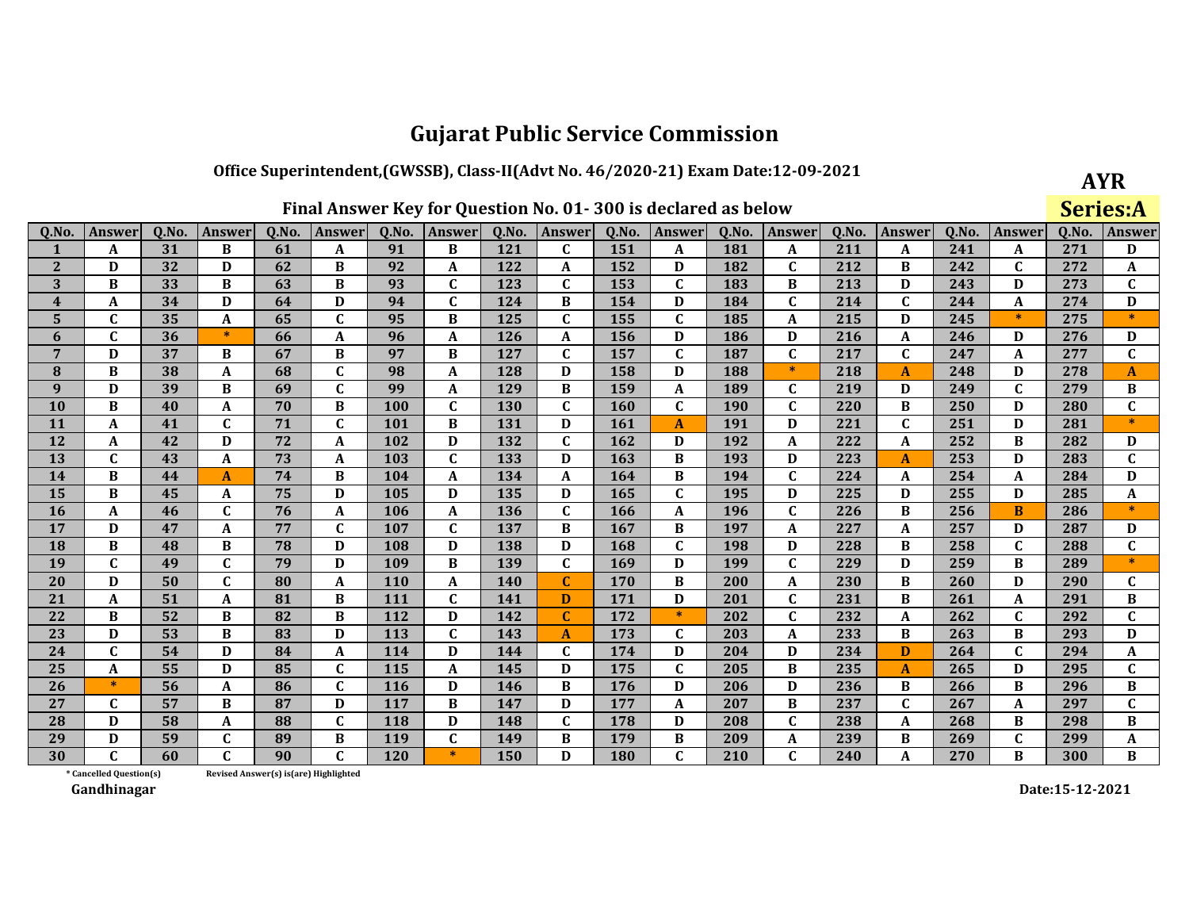### Office Superintendent, (GWSSB), Class-II(Advt No. 46/2020-21) Exam Date:12-09-2021

**AYR** Series:A

| Q.No.                   | <b>Answer</b>           | Q.No. | Answer           | Q.No.                                 | <b>Answer</b> | Q.No.      | Answer       | Q.No.      | Answer       | Q.No.      | <b>Answer</b> | Q.No.      | Answer       | Q.No. | Answer                  | Q.No. | Answer       | Q.No. | Answer                    |
|-------------------------|-------------------------|-------|------------------|---------------------------------------|---------------|------------|--------------|------------|--------------|------------|---------------|------------|--------------|-------|-------------------------|-------|--------------|-------|---------------------------|
|                         | A                       | 31    | B                | 61                                    | A             | 91         | B            | 121        | $\mathbf{C}$ | 151        | A             | 181        | A            | 211   | A                       | 241   | A            | 271   | D                         |
| $\mathbf{2}$            | D                       | 32    | D                | 62                                    | B             | 92         | A            | 122        | A            | 152        | D             | 182        | $\mathbf{C}$ | 212   | B                       | 242   | $\mathbf C$  | 272   | A                         |
| 3                       | B                       | 33    | B                | 63                                    | B             | 93         | $\mathbf C$  | 123        | C            | 153        | $\mathbf C$   | 183        | B            | 213   | D                       | 243   | D            | 273   | $\mathbf C$               |
| $\overline{\mathbf{4}}$ | A                       | 34    | D                | 64                                    | D             | 94         | $\mathbf{C}$ | 124        | B            | 154        | D             | 184        | $\mathbf{C}$ | 214   | $\mathbf C$             | 244   | A            | 274   | D                         |
| $5\phantom{.}$          | $\mathbf{C}$            | 35    | A                | 65                                    | $\mathbf{C}$  | 95         | B            | 125        | $\mathbf{C}$ | 155        | C             | 185        | A            | 215   | D                       | 245   | $\ast$       | 275   | $\ast$                    |
| 6                       | $\mathbf C$             | 36    | $\ast$           | 66                                    | A             | 96         | $\mathbf A$  | 126        | A            | 156        | D             | 186        | D            | 216   | A                       | 246   | D            | 276   | D                         |
| $7\phantom{.0}$         | D                       | 37    | B                | 67                                    | B             | 97         | B            | 127        | $\mathbf{C}$ | 157        | $\mathbf{C}$  | 187        | $\mathbf{C}$ | 217   | $\mathbf C$             | 247   | A            | 277   | $\mathbf{C}$              |
| 8                       | $\bf{B}$                | 38    | A                | 68                                    | $\mathbf{C}$  | 98         | A            | 128        | D            | 158        | D             | 188        | $\ast$       | 218   | $\mathbf{A}$            | 248   | D            | 278   | A                         |
| 9                       | D                       | 39    | B                | 69                                    | $\mathbf{C}$  | 99         | A            | 129        | B            | 159        | $\mathbf{A}$  | 189        | $\mathbf{C}$ | 219   | D                       | 249   | $\mathbf{C}$ | 279   | B                         |
| 10                      | B                       | 40    | $\boldsymbol{A}$ | 70                                    | B             | 100        | $\mathbf C$  | 130        | $\mathbf{C}$ | <b>160</b> | $\mathbf C$   | <b>190</b> | $\mathbf{C}$ | 220   | B                       | 250   | D            | 280   | $\overline{\mathfrak{c}}$ |
| 11                      | A                       | 41    | $\mathbf C$      | 71                                    | $\mathbf{C}$  | 101        | B            | 131        | D            | 161        | $\mathbf{A}$  | 191        | D            | 221   | $\mathbf C$             | 251   | D            | 281   | $\ast$                    |
| 12                      | A                       | 42    | D                | 72                                    | A             | 102        | D            | 132        | $\mathbf{C}$ | 162        | D             | 192        | A            | 222   | A                       | 252   | B            | 282   | D                         |
| 13                      | $\mathbf{C}$            | 43    | $\boldsymbol{A}$ | 73                                    | A             | 103        | $\mathbf C$  | 133        | D            | 163        | B             | 193        | D            | 223   | $\mathbf{A}$            | 253   | D            | 283   | $\mathbf{C}$              |
| 14                      | B                       | 44    | A                | 74                                    | B             | 104        | A            | 134        | A            | 164        | B             | 194        | $\mathbf{C}$ | 224   | A                       | 254   | A            | 284   | D                         |
| 15                      | В                       | 45    | A                | 75                                    | D             | 105        | D            | 135        | D            | 165        | $\mathbf{C}$  | 195        | D            | 225   | D                       | 255   | D            | 285   | A                         |
| 16                      | A                       | 46    | $\mathbf{C}$     | 76                                    | A             | 106        | $\mathbf A$  | 136        | $\mathbf{C}$ | 166        | A             | 196        | $\mathbf{C}$ | 226   | B                       | 256   | B            | 286   | $\ast$                    |
| 17                      | D                       | 47    | A                | 77                                    | $\mathbf C$   | 107        | $\mathbf C$  | 137        | B            | 167        | B             | 197        | A            | 227   | A                       | 257   | D            | 287   | D                         |
| <b>18</b>               | B                       | 48    | B                | 78                                    | D             | 108        | D            | 138        | D            | 168        | $\mathbf{C}$  | 198        | D            | 228   | B                       | 258   | $\mathbf{C}$ | 288   | $\mathbf C$               |
| 19                      | $\mathbf{C}$            | 49    | $\mathbf C$      | 79                                    | D             | 109        | B            | 139        | $\mathbf C$  | 169        | D             | 199        | $\mathbf{C}$ | 229   | D                       | 259   | B            | 289   | $\ast$                    |
| 20                      | D                       | 50    | $\mathbf C$      | 80                                    | A             | <b>110</b> | A            | <b>140</b> | $\mathbf{C}$ | 170        | B             | 200        | A            | 230   | B                       | 260   | D            | 290   | C                         |
| 21                      | A                       | 51    | $\mathbf{A}$     | 81                                    | B             | 111        | $\mathbf{C}$ | 141        | D            | 171        | D             | 201        | $\mathbf{C}$ | 231   | B                       | 261   | A            | 291   | $\, {\bf B}$              |
| 22                      | $\bf{B}$                | 52    | B                | 82                                    | B             | 112        | D            | 142        | $\mathbf{C}$ | 172        | $\ast$        | 202        | $\mathbf{C}$ | 232   | A                       | 262   | $\mathbf{C}$ | 292   | $\mathbf{C}$              |
| 23                      | D                       | 53    | B                | 83                                    | D             | 113        | $\mathbf C$  | 143        | A            | 173        | C             | 203        | A            | 233   | B                       | 263   | B            | 293   | D                         |
| 24                      | $\mathbf{C}$            | 54    | D                | 84                                    | A             | 114        | D            | 144        | C            | 174        | D             | 204        | D            | 234   | D                       | 264   | $\mathbf C$  | 294   | A                         |
| 25                      | A                       | 55    | D                | 85                                    | $\mathbf{C}$  | <b>115</b> | A            | 145        | D            | 175        | C             | 205        | B            | 235   | A                       | 265   | D            | 295   | $\mathbf C$               |
| 26                      | $\ast$                  | 56    | A                | 86                                    | C             | <b>116</b> | D            | 146        | B            | 176        | D             | 206        | D            | 236   | B                       | 266   | B            | 296   | B                         |
| 27                      | $\mathbf{C}$            | 57    | B                | 87                                    | D             | 117        | B            | 147        | D            | 177        | A             | 207        | B            | 237   | $\mathbf C$             | 267   | A            | 297   | $\mathbf{C}$              |
| 28                      | D                       | 58    | A                | 88                                    | $\mathbf{C}$  | 118        | D            | 148        | $\mathbf{C}$ | 178        | D             | 208        | $\mathbf{C}$ | 238   | A                       | 268   | B            | 298   | B                         |
| 29                      | D                       | 59    | $\mathbf C$      | 89                                    | B             | 119        | $\mathbf C$  | 149        | В            | 179        | B             | 209        | A            | 239   | В                       | 269   | $\mathbf{C}$ | 299   | A                         |
| 30                      | $\mathbf{C}$            | 60    | $\mathbf{C}$     | 90                                    | $\mathbf{C}$  | 120        | $\ast$       | 150        | D            | 180        | $\mathbf{C}$  | 210        | $\mathbf{C}$ | 240   | $\overline{\mathbf{A}}$ | 270   | B            | 300   | B                         |
|                         | * Cancelled Question(s) |       |                  | Revised Answer(s) is(are) Highlighted |               |            |              |            |              |            |               |            |              |       |                         |       |              |       |                           |

Revised Answer(s) is(are) Highlighted

Gandhinagar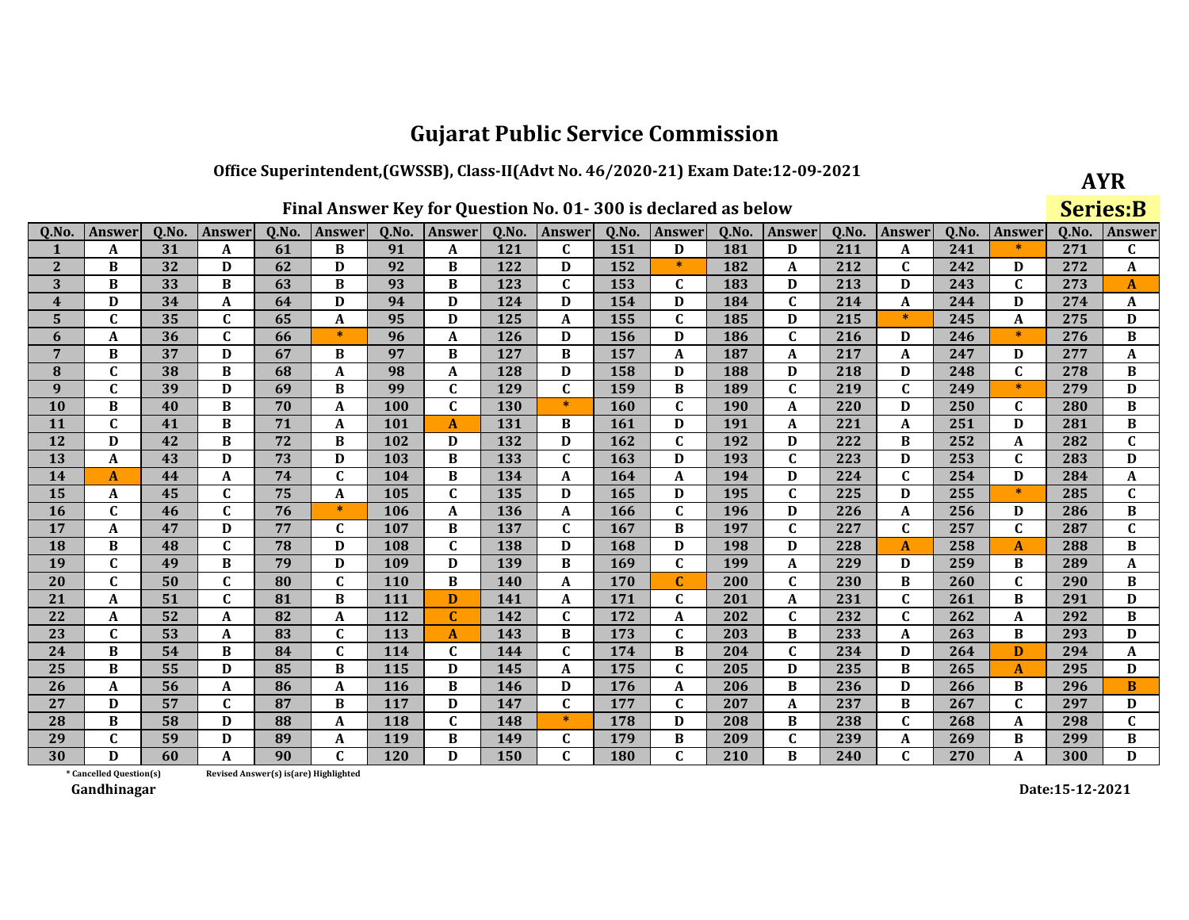## Office Superintendent, (GWSSB), Class-II(Advt No. 46/2020-21) Exam Date:12-09-2021

**AYR Series:B** 

| Q.No.                   | <b>Answer</b>           | Q.No. | <b>Answer</b> | Q.No.                                 | Answer       | Q.No.      | Answer       | Q.No. | <b>Answer</b> | Q.No.      | Answer       | Q.No.      | Answer       | Q.No. | Answer       | 0.No. | <b>Answer</b> | Q.No. | Answer         |
|-------------------------|-------------------------|-------|---------------|---------------------------------------|--------------|------------|--------------|-------|---------------|------------|--------------|------------|--------------|-------|--------------|-------|---------------|-------|----------------|
| 1                       | A                       | 31    | A             | 61                                    | B            | 91         | A            | 121   | $\mathbf{C}$  | 151        | D            | 181        | D            | 211   | A            | 241   |               | 271   | C              |
| $\mathbf{2}$            | B                       | 32    | D             | 62                                    | D            | 92         | B            | 122   | D             | 152        | $\ast$       | 182        | A            | 212   | $\mathbf C$  | 242   | D             | 272   | A              |
| 3                       | B                       | 33    | B             | 63                                    | B            | 93         | B            | 123   | $\mathbf{C}$  | 153        | $\mathbf C$  | 183        | D            | 213   | D            | 243   | $\mathbf{C}$  | 273   | $\mathbf{A}$   |
| $\overline{\mathbf{4}}$ | D                       | 34    | A             | 64                                    | D            | 94         | D            | 124   | D             | 154        | D            | 184        | $\mathbf{C}$ | 214   | A            | 244   | D             | 274   | A              |
| 5                       | $\mathbf{C}$            | 35    | $\mathbf C$   | 65                                    | A            | 95         | D            | 125   | A             | 155        | $\mathbf{C}$ | 185        | D            | 215   | $\ast$       | 245   | A             | 275   | D              |
| 6                       | A                       | 36    | $\mathbf C$   | 66                                    | $*$          | 96         | A            | 126   | D             | 156        | D            | 186        | $\mathbf{C}$ | 216   | D            | 246   | $\ast$        | 276   | B              |
| $\overline{7}$          | B                       | 37    | D             | 67                                    | B            | 97         | B            | 127   | B             | 157        | A            | 187        | A            | 217   | A            | 247   | D             | 277   | A              |
| ${\bf 8}$               | $\mathbf C$             | 38    | B             | 68                                    | A            | 98         | A            | 128   | D             | 158        | D            | 188        | D            | 218   | D            | 248   | $\mathbf c$   | 278   | B              |
| $\boldsymbol{9}$        | $\mathbf{C}$            | 39    | D             | 69                                    | B            | 99         | $\mathbf C$  | 129   | $\mathbf{C}$  | 159        | B            | 189        | $\mathbf{C}$ | 219   | $\mathbf C$  | 249   | $\ast$        | 279   | D              |
| 10                      | B                       | 40    | B             | 70                                    | A            | 100        | $\mathbf C$  | 130   | $\ast$        | 160        | C            | <b>190</b> | $\mathbf{A}$ | 220   | D            | 250   | $\mathbf{C}$  | 280   | B              |
| 11                      | $\mathbf C$             | 41    | B             | 71                                    | A            | 101        | $\mathbf{A}$ | 131   | B             | 161        | D            | 191        | A            | 221   | A            | 251   | D             | 281   | В              |
| 12                      | D                       | 42    | B             | 72                                    | B            | 102        | D            | 132   | D             | 162        | $\mathbf{C}$ | 192        | D            | 222   | B            | 252   | A             | 282   | $\overline{c}$ |
| 13                      | A                       | 43    | D             | 73                                    | D            | 103        | B            | 133   | $\mathbf C$   | 163        | D            | 193        | $\mathbf{C}$ | 223   | D            | 253   | $\mathbf c$   | 283   | D              |
| 14                      | A                       | 44    | A             | 74                                    | $\mathbf{C}$ | 104        | B            | 134   | A             | 164        | A            | 194        | D            | 224   | $\mathbf{C}$ | 254   | D             | 284   | A              |
| 15                      | A                       | 45    | $\mathbf{C}$  | 75                                    | A            | 105        | $\mathbf{C}$ | 135   | D             | 165        | D            | 195        | $\mathbf{C}$ | 225   | D            | 255   | $\ast$        | 285   | $\mathbf C$    |
| 16                      | $\mathbf{C}$            | 46    | $\mathbf C$   | 76                                    | $\ast$       | 106        | $\pmb{A}$    | 136   | A             | 166        | C            | 196        | D            | 226   | A            | 256   | D             | 286   | $\, {\bf B}$   |
| 17                      | A                       | 47    | D             | 77                                    | $\mathbf{C}$ | 107        | B            | 137   | $\mathbf{C}$  | 167        | B            | 197        | $\mathbf{C}$ | 227   | $\mathbf{C}$ | 257   | $\mathbf{C}$  | 287   | $\mathbf C$    |
| 18                      | B                       | 48    | $\mathbf C$   | 78                                    | D            | 108        | $\mathbf C$  | 138   | D             | 168        | D            | 198        | D            | 228   | $\mathbf{A}$ | 258   | $\mathbf{A}$  | 288   | $\overline{B}$ |
| 19                      | $\mathbf{C}$            | 49    | B             | 79                                    | D            | 109        | D            | 139   | B             | 169        | $\mathbf C$  | 199        | $\mathbf{A}$ | 229   | D            | 259   | B             | 289   | A              |
| 20                      | $\mathbf C$             | 50    | $\mathbf{C}$  | 80                                    | $\mathbf{C}$ | <b>110</b> | B            | 140   | A             | <b>170</b> |              | 200        | C            | 230   | B            | 260   | C             | 290   | В              |
| 21                      | A                       | 51    | $\mathbf{C}$  | 81                                    | B            | 111        | D            | 141   | $\mathbf A$   | 171        | C            | 201        | $\mathbf{A}$ | 231   | $\mathbf C$  | 261   | B             | 291   | $\mathbf D$    |
| 22                      | A                       | 52    | A             | 82                                    | A            | 112        | $\mathbf C$  | 142   | $\mathbf{C}$  | 172        | $\mathbf A$  | 202        | $\mathbf{C}$ | 232   | $\mathbf{C}$ | 262   | A             | 292   | $\, {\bf B}$   |
| 23                      | C                       | 53    | A             | 83                                    | C            | 113        | $\mathbf{A}$ | 143   | В             | 173        | C            | 203        | B            | 233   | A            | 263   | B             | 293   | D              |
| 24                      | B                       | 54    | B             | 84                                    | $\mathbf{C}$ | 114        | $\mathbf C$  | 144   | $\mathbf{C}$  | 174        | B            | 204        | $\mathbf{C}$ | 234   | D            | 264   | D             | 294   | $\mathbf A$    |
| 25                      | B                       | 55    | D             | 85                                    | B            | 115        | D            | 145   | A             | 175        | C            | 205        | D            | 235   | B            | 265   | A             | 295   | D              |
| 26                      | A                       | 56    | A             | 86                                    | A            | <b>116</b> | B            | 146   | D             | 176        | A            | 206        | B            | 236   | D            | 266   | B             | 296   | B              |
| 27                      | D                       | 57    | $\mathbf{C}$  | 87                                    | B            | 117        | D            | 147   | $\mathbf{C}$  | 177        | $\mathbf{C}$ | 207        | $\mathbf{A}$ | 237   | B            | 267   | $\mathbf{C}$  | 297   | D              |
| 28                      | B                       | 58    | D             | 88                                    | A            | 118        | $\mathbf C$  | 148   | $\ast$        | 178        | D            | 208        | B            | 238   | C            | 268   | A             | 298   | $\mathbf C$    |
| 29                      | C                       | 59    | D             | 89                                    | A            | 119        | B            | 149   | $\mathbf{C}$  | 179        | B            | 209        | $\mathbf{C}$ | 239   | A            | 269   | B             | 299   | В              |
| 30                      | D                       | 60    | A             | 90                                    | $\mathbf{C}$ | 120        | D            | 150   | $\mathbf{C}$  | 180        | $\mathbf{C}$ | 210        | B            | 240   | $\mathbf{C}$ | 270   | A             | 300   | D              |
|                         | * Cancelled Question(s) |       |               | Revised Answer(s) is(are) Highlighted |              |            |              |       |               |            |              |            |              |       |              |       |               |       |                |

Revised Answer(s) is(are) Highlighted

Gandhinagar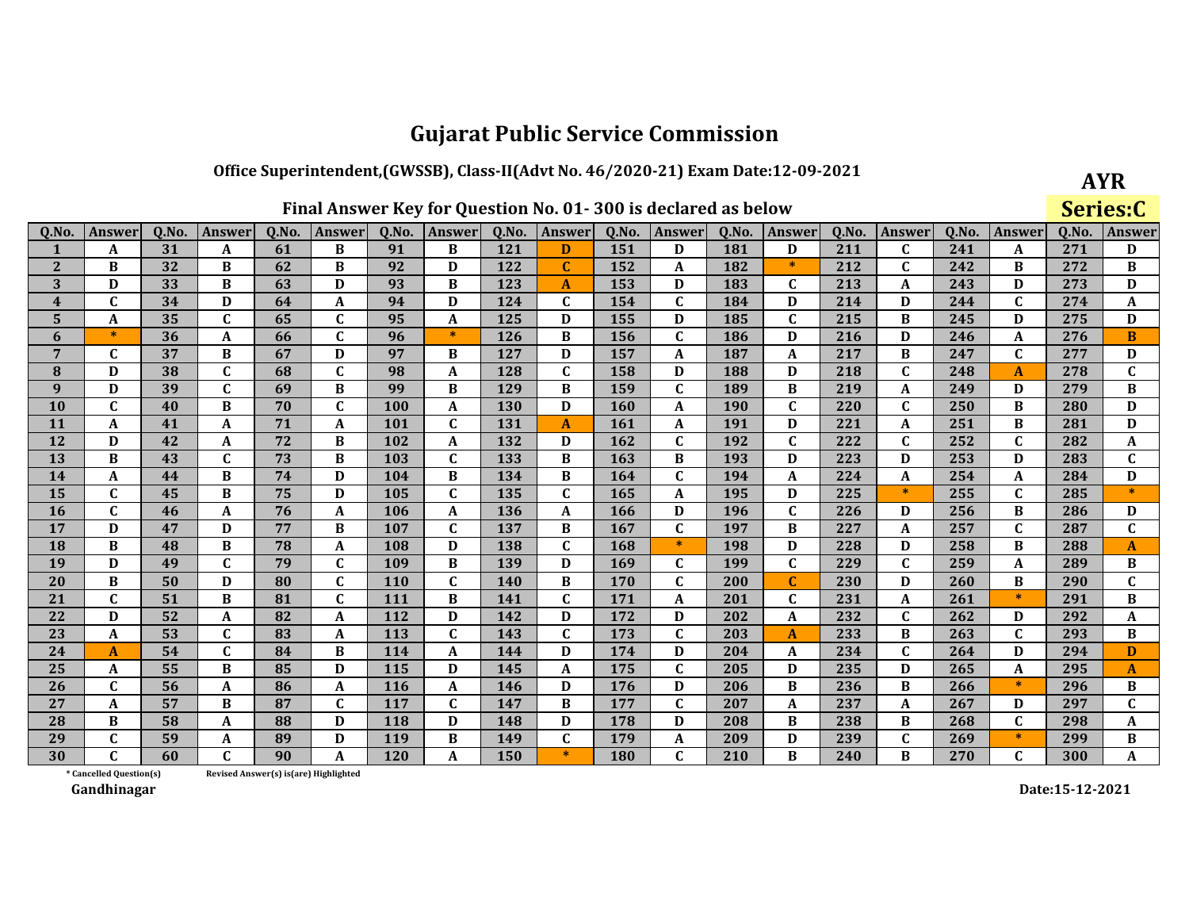## Office Superintendent, (GWSSB), Class-II(Advt No. 46/2020-21) Exam Date:12-09-2021

**AYR** 

|                         |                         |       |               |                                        |               |            |                  |            |              |            | Final Answer Key for Question No. 01-300 is declared as below |       |              |       |              |       |              | Series:C |               |
|-------------------------|-------------------------|-------|---------------|----------------------------------------|---------------|------------|------------------|------------|--------------|------------|---------------------------------------------------------------|-------|--------------|-------|--------------|-------|--------------|----------|---------------|
| Q.No.                   | Answer                  | Q.No. | <b>Answer</b> | Q.No.                                  | <b>Answer</b> | Q.No.      | <b>Answer</b>    | Q.No.      | Answer       | Q.No.      | <b>Answer</b>                                                 | Q.No. | Answer       | Q.No. | Answer       | Q.No. | Answer       | 0.No.    | <b>Answer</b> |
| 1                       | A                       | 31    | A             | 61                                     | B             | 91         | B                | 121        | D            | 151        | D                                                             | 181   | D            | 211   | $\mathbf C$  | 241   | A            | 271      | D             |
| $\overline{2}$          | B                       | 32    | B             | 62                                     | B             | 92         | D                | 122        | $\mathbf C$  | 152        | A                                                             | 182   | $\ast$       | 212   | $\mathbf{C}$ | 242   | B            | 272      | $\bf{B}$      |
| 3                       | D                       | 33    | $\bf{B}$      | 63                                     | D             | 93         | $\bf{B}$         | 123        | A            | 153        | D                                                             | 183   | C            | 213   | A            | 243   | D            | 273      | D             |
| $\overline{\mathbf{4}}$ | C                       | 34    | D             | 64                                     | A             | 94         | D                | 124        | $\mathbf{C}$ | 154        | $\mathbf C$                                                   | 184   | D            | 214   | D            | 244   | $\mathbf C$  | 274      | A             |
| 5                       | A                       | 35    | $\mathbf C$   | 65                                     | $\mathbf{C}$  | 95         | $\mathbf{A}$     | 125        | D            | 155        | D                                                             | 185   | $\mathbf{C}$ | 215   | B            | 245   | D            | 275      | D             |
| 6                       | $\ast$                  | 36    | A             | 66                                     | $\mathbf C$   | 96         | $\ast$           | 126        | B            | 156        | $\mathbf C$                                                   | 186   | D            | 216   | D            | 246   | A            | 276      | B             |
| 7                       | C                       | 37    | B             | 67                                     | D             | 97         | B                | 127        | D            | 157        | A                                                             | 187   | A            | 217   | B            | 247   | $\mathbf C$  | 277      | D             |
| 8                       | D                       | 38    | $\mathbf{C}$  | 68                                     | $\mathbf{C}$  | 98         | A                | 128        | $\mathbf{C}$ | 158        | D                                                             | 188   | D            | 218   | $\mathbf C$  | 248   | A            | 278      | $\mathbf c$   |
| 9                       | D                       | 39    | $\mathbf{C}$  | 69                                     | B             | 99         | B                | 129        | B            | 159        | $\mathbf{C}$                                                  | 189   | B            | 219   | A            | 249   | D            | 279      | $\bf{B}$      |
| 10                      | $\mathbf C$             | 40    | B             | 70                                     | $\mathbf{C}$  | 100        | A                | <b>130</b> | D            | 160        | A                                                             | 190   | $\mathbf{C}$ | 220   | $\mathbf C$  | 250   | B            | 280      | D             |
| 11                      | A                       | 41    | A             | 71                                     | A             | 101        | $\mathbf C$      | 131        | A            | 161        | A                                                             | 191   | D            | 221   | A            | 251   | B            | 281      | D             |
| 12                      | D                       | 42    | A             | 72                                     | B             | 102        | A                | 132        | D            | 162        | $\mathbf C$                                                   | 192   | C            | 222   | $\mathbf c$  | 252   | $\mathbf C$  | 282      | A             |
| 13                      | B                       | 43    | $\mathbf{C}$  | 73                                     | B             | 103        | $\mathbf C$      | 133        | B            | 163        | B                                                             | 193   | D            | 223   | D            | 253   | D            | 283      | $\mathbf C$   |
| 14                      | A                       | 44    | B             | 74                                     | D             | 104        | B                | 134        | B            | 164        | $\mathbf{C}$                                                  | 194   | A            | 224   | A            | 254   | A            | 284      | D             |
| 15                      | C                       | 45    | B             | 75                                     | D             | 105        | $\mathbf C$      | 135        | $\mathbf{C}$ | 165        | A                                                             | 195   | D            | 225   | $\ast$       | 255   | $\mathbf{C}$ | 285      | $\ast$        |
| 16                      | $\mathbf{C}$            | 46    | A             | 76                                     | A             | 106        | A                | 136        | A            | 166        | D                                                             | 196   | $\mathbf C$  | 226   | D            | 256   | B            | 286      | D             |
| 17                      | D                       | 47    | D             | 77                                     | B             | 107        | $\mathbf C$      | 137        | B            | 167        | $\mathbf C$                                                   | 197   | B            | 227   | A            | 257   | $\mathbf C$  | 287      | $\mathbf C$   |
| 18                      | B                       | 48    | B             | 78                                     | A             | 108        | D                | 138        | $\mathbf{C}$ | 168        | $\ast$                                                        | 198   | D            | 228   | D            | 258   | B            | 288      | A             |
| 19                      | D                       | 49    | $\mathbf{C}$  | 79                                     | $\mathbf{C}$  | 109        | $\bf{B}$         | 139        | D            | 169        | $\mathbf C$                                                   | 199   | $\mathbf{C}$ | 229   | $\mathbf{C}$ | 259   | A            | 289      | $\bf{B}$      |
| 20                      | B                       | 50    | D             | 80                                     | $\mathbf{C}$  | <b>110</b> | $\mathbf C$      | <b>140</b> | B            | 170        | $\mathbf C$                                                   | 200   | C            | 230   | D            | 260   | B            | 290      | $\mathbf c$   |
| 21                      | C                       | 51    | B             | 81                                     | $\mathbf{C}$  | 111        | B                | 141        | $\mathbf C$  | 171        | A                                                             | 201   | $\mathbf c$  | 231   | A            | 261   | $\ast$       | 291      | $\bf{B}$      |
| 22                      | D                       | 52    | A             | 82                                     | A             | 112        | D                | 142        | D            | 172        | D                                                             | 202   | A            | 232   | $\mathbf C$  | 262   | D            | 292      | A             |
| 23                      | A                       | 53    | $\mathbf C$   | 83                                     | A             | 113        | $\mathbf C$      | 143        | $\mathbf{C}$ | 173        | $\mathbf{C}$                                                  | 203   | A            | 233   | $\bf{B}$     | 263   | $\mathbf C$  | 293      | $\bf{B}$      |
| 24                      | A                       | 54    | C             | 84                                     | B             | 114        | A                | 144        | D            | 174        | D                                                             | 204   | A            | 234   | $\mathbf C$  | 264   | D            | 294      | D             |
| 25                      | A                       | 55    | $\bf{B}$      | 85                                     | D             | 115        | D                | 145        | A            | 175        | $\mathbf C$                                                   | 205   | D            | 235   | D            | 265   | A            | 295      | $\mathbf{A}$  |
| 26                      | $\mathbf{C}$            | 56    | A             | 86                                     | A             | 116        | $\boldsymbol{A}$ | 146        | D            | 176        | D                                                             | 206   | B            | 236   | B            | 266   | $\ast$       | 296      | B             |
| 27                      | A                       | 57    | B             | 87                                     | $\mathbf{C}$  | 117        | $\mathbf C$      | 147        | B            | 177        | $\mathbf C$                                                   | 207   | A            | 237   | A            | 267   | D            | 297      | $\mathbf C$   |
| 28                      | B                       | 58    | A             | 88                                     | D             | 118        | D                | 148        | D            | 178        | D                                                             | 208   | B            | 238   | B            | 268   | $\mathbf C$  | 298      | A             |
| 29                      | C                       | 59    | A             | 89                                     | D             | 119        | B                | 149        | $\mathbf{C}$ | 179        | A                                                             | 209   | D            | 239   | $\mathbf C$  | 269   | $\ast$       | 299      | $\bf{B}$      |
| 30                      |                         | 60    | C             | 90                                     | A             | 120        | A                | 150        | $\ast$       | <b>180</b> | $\mathbf C$                                                   | 210   | B            | 240   | B            | 270   | $\mathbf{C}$ | 300      | A             |
|                         | * Cancelled Question(s) |       |               | Revised Answer(s) is (are) Highlighted |               |            |                  |            |              |            |                                                               |       |              |       |              |       |              |          |               |

Revised Answer(s) is(are) Highlighted

Gandhinagar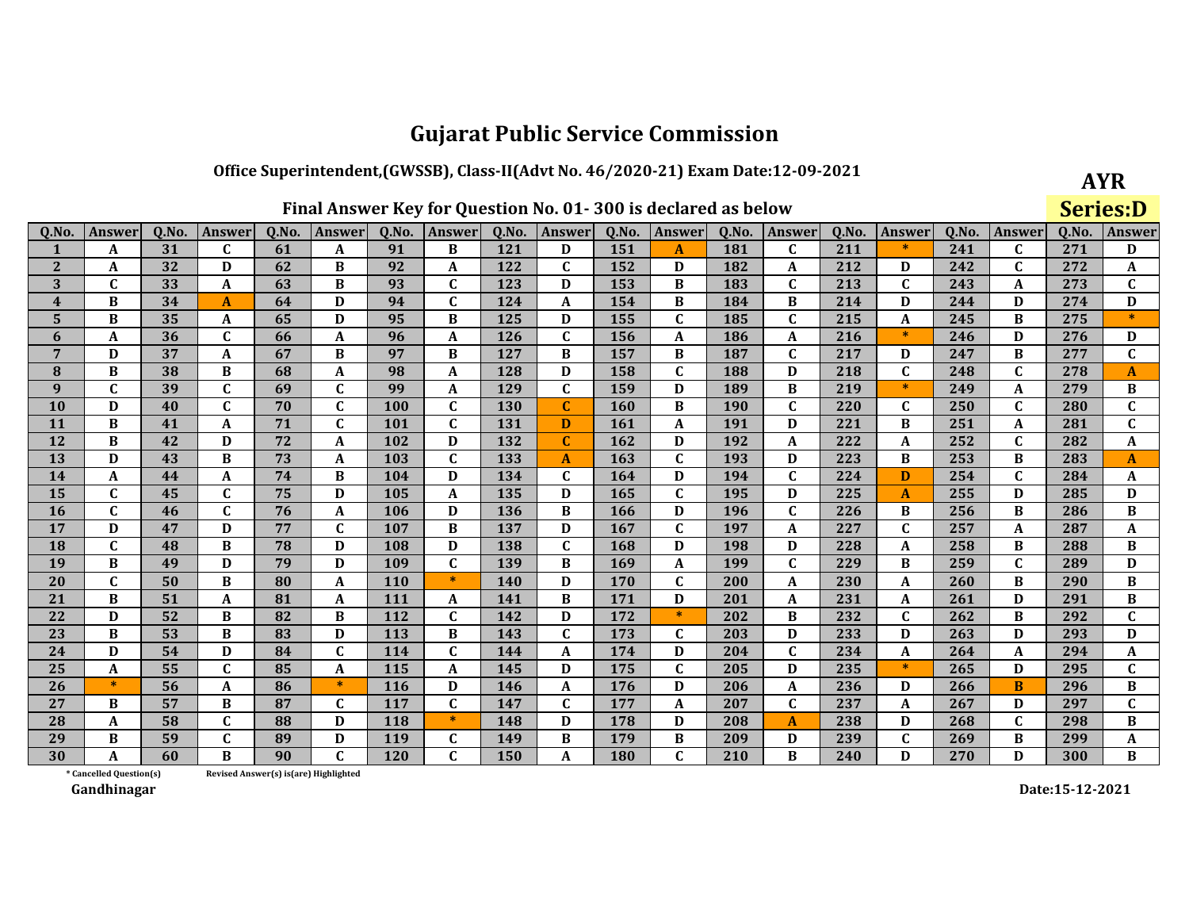## Office Superintendent, (GWSSB), Class-II(Advt No. 46/2020-21) Exam Date:12-09-2021

**AYR Series:D** 

| Q.No.                   | Answer                  | Q.No. | <b>Answer</b>    | Q.No.                                 | <b>Answer</b> | Q.No.      | <b>Answer</b> | Q.No.      | Answer       | Q.No. | <b>Answer</b> | Q.No.      | <b>Answer</b> | Q.No. | <b>Answer</b> | Q.No. | <b>Answer</b> | Q.No. | <b>Answer</b> |
|-------------------------|-------------------------|-------|------------------|---------------------------------------|---------------|------------|---------------|------------|--------------|-------|---------------|------------|---------------|-------|---------------|-------|---------------|-------|---------------|
| 1                       | A                       | 31    | $\mathbf{C}$     | 61                                    | A             | 91         | B             | 121        | D            | 151   | A             | 181        | $\mathbf{C}$  | 211   | $\ast$        | 241   | C             | 271   | D             |
| $\mathbf{2}$            | A                       | 32    | D                | 62                                    | B             | 92         | $\mathbf A$   | 122        | C            | 152   | D             | 182        | A             | 212   | D             | 242   | $\mathbf{C}$  | 272   | A             |
| 3                       | $\mathbf{C}$            | 33    | A                | 63                                    | B             | 93         | $\mathbf{C}$  | 123        | D            | 153   | B             | 183        | $\mathbf{C}$  | 213   | $\mathbf{C}$  | 243   | A             | 273   | C             |
| $\overline{\mathbf{4}}$ | B                       | 34    | $\mathbf{A}$     | 64                                    | D             | 94         | $\mathbf{C}$  | 124        | A            | 154   | B             | 184        | B             | 214   | D             | 244   | D             | 274   | D             |
| 5                       | B                       | 35    | A                | 65                                    | D             | 95         | B             | 125        | D            | 155   | $\mathbf C$   | 185        | $\mathbf{C}$  | 215   | A             | 245   | B             | 275   | $\ast$        |
| 6                       | A                       | 36    | $\mathbf{C}$     | 66                                    | A             | 96         | A             | 126        | C            | 156   | A             | 186        | A             | 216   | $*$           | 246   | D             | 276   | D             |
| $\overline{7}$          | D                       | 37    | $\boldsymbol{A}$ | 67                                    | B             | 97         | B             | 127        | B            | 157   | B             | 187        | $\mathbf{C}$  | 217   | D             | 247   | B             | 277   | $\mathbf{C}$  |
| ${\bf 8}$               | B                       | 38    | B                | 68                                    | A             | 98         | A             | 128        | D            | 158   | $\mathbf C$   | 188        | D             | 218   | $\mathbf{C}$  | 248   | $\mathbf{C}$  | 278   | A             |
| $\boldsymbol{9}$        | $\mathbf{C}$            | 39    | $\mathbf C$      | 69                                    | $\mathbf{C}$  | 99         | A             | 129        | $\mathbf{C}$ | 159   | D             | 189        | B             | 219   | $\ast$        | 249   | A             | 279   | B             |
| 10                      | D                       | 40    | $\mathbf{C}$     | 70                                    | $\mathbf{C}$  | 100        | $\mathbf C$   | <b>130</b> | $\mathbf{C}$ | 160   | B             | <b>190</b> | $\mathbf{C}$  | 220   | $\mathbf{C}$  | 250   | $\mathbf{C}$  | 280   | $\mathbf{C}$  |
| 11                      | B                       | 41    | A                | 71                                    | C             | 101        | $\mathbf C$   | 131        | D            | 161   | A             | <b>191</b> | D             | 221   | B             | 251   | A             | 281   | $\mathbf{C}$  |
| 12                      | B                       | 42    | D                | 72                                    | A             | 102        | D             | 132        | $\mathbf{C}$ | 162   | D             | 192        | $\mathbf{A}$  | 222   | $\mathbf{A}$  | 252   | $\mathbf C$   | 282   | A             |
| 13                      | D                       | 43    | B                | 73                                    | A             | 103        | $\mathbf C$   | 133        | A            | 163   | $\mathbf C$   | 193        | D             | 223   | B             | 253   | B             | 283   | A             |
| 14                      | A                       | 44    | A                | 74                                    | B             | 104        | D             | 134        | C            | 164   | D             | 194        | $\mathbf{C}$  | 224   | D             | 254   | $\mathbf{C}$  | 284   | A             |
| 15                      | $\mathbf{C}$            | 45    | $\mathbf{C}$     | 75                                    | D             | 105        | $\mathbf{A}$  | 135        | D            | 165   | $\mathbf C$   | 195        | D             | 225   | $\mathbf{A}$  | 255   | D             | 285   | $\mathbf D$   |
| 16                      | $\mathbf{C}$            | 46    | $\mathbf{C}$     | 76                                    | A             | 106        | D             | 136        | B            | 166   | D             | 196        | $\mathbf{C}$  | 226   | B             | 256   | B             | 286   | B             |
| 17                      | D                       | 47    | D                | 77                                    | $\mathbf{C}$  | 107        | B             | 137        | D            | 167   | $\mathbf C$   | 197        | A             | 227   | $\mathbf{C}$  | 257   | A             | 287   | A             |
| 18                      | $\mathbf{C}$            | 48    | B                | 78                                    | D             | 108        | D             | 138        | $\mathbf{C}$ | 168   | D             | 198        | D             | 228   | $\mathbf{A}$  | 258   | B             | 288   | $\, {\bf B}$  |
| 19                      | B                       | 49    | D                | 79                                    | D             | 109        | $\mathbf C$   | 139        | B            | 169   | A             | 199        | $\mathbf{C}$  | 229   | B             | 259   | C             | 289   | D             |
| 20                      | $\mathbf C$             | 50    | B                | 80                                    | A             | <b>110</b> | $\ast$        | <b>140</b> | D            | 170   | C             | 200        | A             | 230   | A             | 260   | В             | 290   | В             |
| 21                      | B                       | 51    | $\boldsymbol{A}$ | 81                                    | A             | 111        | $\mathbf A$   | 141        | B            | 171   | D             | 201        | A             | 231   | A             | 261   | D             | 291   | $\, {\bf B}$  |
| 22                      | D                       | 52    | B                | 82                                    | B             | 112        | $\mathbf C$   | 142        | D            | 172   | $\ast$        | 202        | B             | 232   | $\mathbf C$   | 262   | B             | 292   | $\mathbf{C}$  |
| 23                      | B                       | 53    | B                | 83                                    | D             | <b>113</b> | B             | 143        | C            | 173   | C             | 203        | D             | 233   | D             | 263   | D             | 293   | D             |
| 24                      | D                       | 54    | D                | 84                                    | $\mathbf{C}$  | 114        | $\mathbf{C}$  | 144        | A            | 174   | D             | 204        | $\mathbf{C}$  | 234   | $\mathbf{A}$  | 264   | A             | 294   | A             |
| 25                      | A                       | 55    | $\mathbf C$      | 85                                    | A             | 115        | $\mathbf A$   | 145        | D            | 175   | $\mathbf C$   | 205        | D             | 235   | $\ast$        | 265   | D             | 295   | $\mathbf{C}$  |
| 26                      | $*$                     | 56    | A                | 86                                    | $\ast$        | <b>116</b> | D             | 146        | A            | 176   | D             | 206        | A             | 236   | D             | 266   | B             | 296   | В             |
| 27                      | B                       | 57    | B                | 87                                    | $\mathbf{C}$  | 117        | $\mathbf{C}$  | 147        | $\mathbf{C}$ | 177   | $\mathbf{A}$  | 207        | $\mathbf{C}$  | 237   | $\mathbf{A}$  | 267   | D             | 297   | $\mathbf{C}$  |
| 28                      | A                       | 58    | $\mathbf{C}$     | 88                                    | D             | 118        | $\ast$        | 148        | D            | 178   | D             | 208        | $\mathbf{A}$  | 238   | D             | 268   | C             | 298   | В             |
| 29                      | B                       | 59    | $\mathbf C$      | 89                                    | D             | 119        | $\mathbf{C}$  | 149        | B            | 179   | B             | 209        | D             | 239   | $\mathbf{C}$  | 269   | В             | 299   | A             |
| 30                      | A                       | 60    | B                | 90                                    | $\mathbf{C}$  | 120        | $\mathbf{C}$  | 150        | A            | 180   | $\mathbf{C}$  | 210        | B             | 240   | D             | 270   | D             | 300   | $\bf{B}$      |
|                         | * Cancelled Question(s) |       |                  | Revised Answer(s) is(are) Highlighted |               |            |               |            |              |       |               |            |               |       |               |       |               |       |               |

Revised Answer(s) is(are) Highlighted

Gandhinagar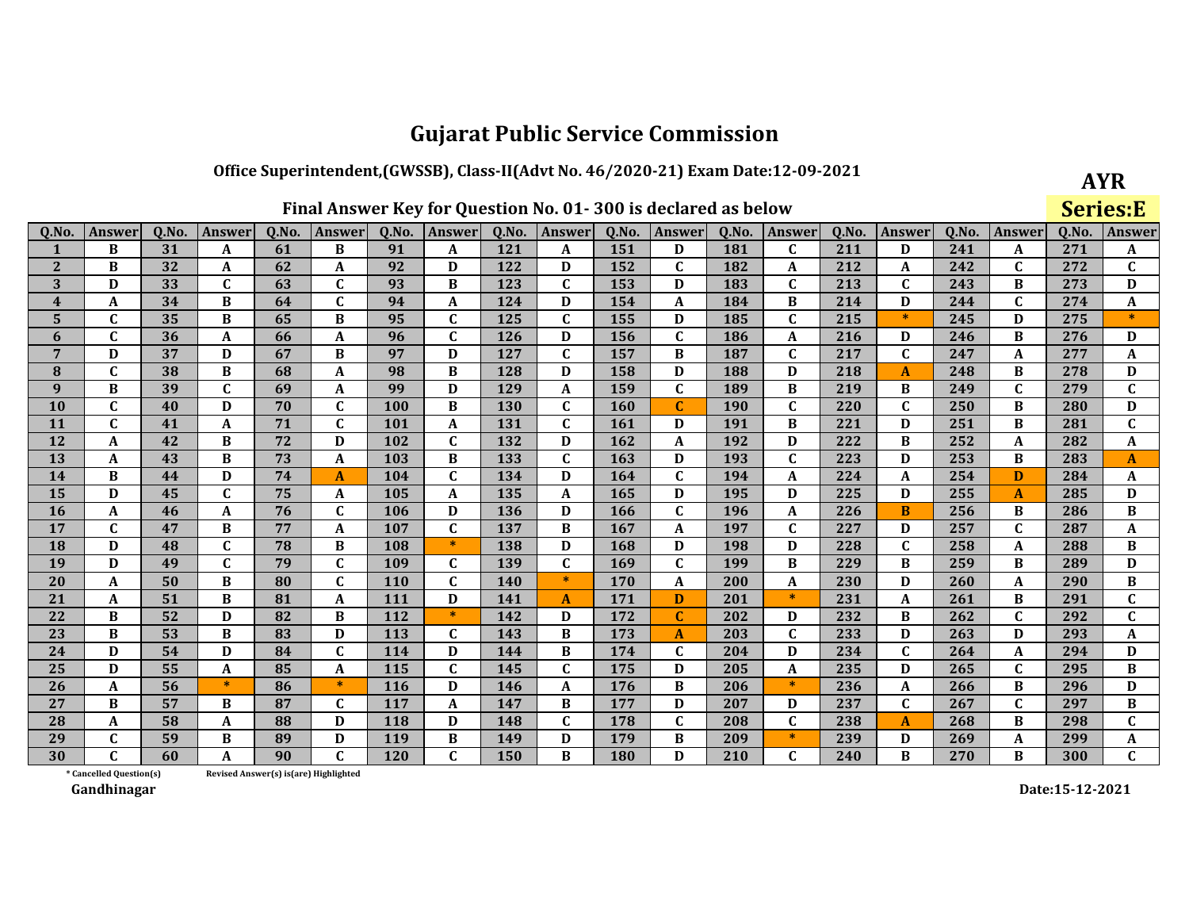### Office Superintendent, (GWSSB), Class-II(Advt No. 46/2020-21) Exam Date:12-09-2021

**AYR** 

|                         |                         |       |                  |                                        |              |            |                  |            |               |            | Final Answer Key for Question No. 01-300 is declared as below |       |              |       |              |       |              | <b>Series:E</b> |              |
|-------------------------|-------------------------|-------|------------------|----------------------------------------|--------------|------------|------------------|------------|---------------|------------|---------------------------------------------------------------|-------|--------------|-------|--------------|-------|--------------|-----------------|--------------|
| Q.No.                   | <b>Answer</b>           | Q.No. | Answer           | Q.No.                                  | Answer       | Q.No.      | Answer           | Q.No.      | <b>Answer</b> | Q.No.      | <b>Answer</b>                                                 | Q.No. | Answer       | Q.No. | Answer       | Q.No. | Answer       | Q.No.           | Answer       |
| $\mathbf{1}$            | B                       | 31    | A                | 61                                     | B            | 91         | A                | 121        | A             | 151        | D                                                             | 181   | $\mathbf{C}$ | 211   | D            | 241   | A            | 271             | A            |
| $\mathbf{2}$            | B                       | 32    | A                | 62                                     | A            | 92         | D                | 122        | D             | 152        | $\mathbf{C}$                                                  | 182   | A            | 212   | A            | 242   | $\mathbf C$  | 272             | $\mathbf C$  |
| 3                       | D                       | 33    | $\mathbf C$      | 63                                     | $\mathbf C$  | 93         | B                | 123        | $\mathbf C$   | 153        | D                                                             | 183   | $\mathbf{C}$ | 213   | $\mathbf{C}$ | 243   | B            | 273             | D            |
| $\overline{\mathbf{4}}$ | A                       | 34    | B                | 64                                     | $\mathbf{C}$ | 94         | $\boldsymbol{A}$ | 124        | D             | 154        | A                                                             | 184   | B            | 214   | D            | 244   | $\mathbf C$  | 274             | A            |
| 5                       | C                       | 35    | B                | 65                                     | B            | 95         | $\mathbf{C}$     | 125        | $\mathbf{C}$  | 155        | D                                                             | 185   | $\mathbf{C}$ | 215   | $\ast$       | 245   | D            | 275             | $\ast$       |
| 6                       | $\mathbf C$             | 36    | A                | 66                                     | A            | 96         | $\mathbf C$      | 126        | D             | 156        | $\mathbf{C}$                                                  | 186   | A            | 216   | D            | 246   | B            | 276             | D            |
| $\overline{7}$          | D                       | 37    | D                | 67                                     | B            | 97         | D                | 127        | $\mathbf C$   | 157        | B                                                             | 187   | $\mathbf{C}$ | 217   | $\mathbf{C}$ | 247   | A            | 277             | A            |
| ${\bf 8}$               | $\mathbf C$             | 38    | B                | 68                                     | A            | 98         | B                | 128        | D             | 158        | D                                                             | 188   | D            | 218   | $\mathbf{A}$ | 248   | B            | 278             | D            |
| 9                       | B                       | 39    | C                | 69                                     | A            | 99         | D                | 129        | A             | 159        | $\mathbf{C}$                                                  | 189   | B            | 219   | B            | 249   | $\mathbf C$  | 279             | $\mathbf C$  |
| 10                      | $\mathbf{C}$            | 40    | D                | 70                                     | $\mathbf{C}$ | 100        | B                | <b>130</b> | $\mathbf{C}$  | 160        | $\mathbf{C}$                                                  | 190   | $\mathbf C$  | 220   | $\mathbf{C}$ | 250   | B            | 280             | D            |
| 11                      | $\mathbf C$             | 41    | A                | 71                                     | C            | 101        | $\boldsymbol{A}$ | 131        | $\mathbf C$   | 161        | D                                                             | 191   | B            | 221   | D            | 251   | B            | 281             | $\mathbf C$  |
| 12                      | A                       | 42    | B                | 72                                     | D            | 102        | $\mathbf C$      | 132        | D             | 162        | A                                                             | 192   | D            | 222   | B            | 252   | A            | 282             | A            |
| 13                      | A                       | 43    | B                | 73                                     | A            | 103        | B                | 133        | $\mathbf{C}$  | 163        | D                                                             | 193   | $\mathbf{C}$ | 223   | D            | 253   | B            | 283             | $\mathbf{A}$ |
| 14                      | B                       | 44    | D                | 74                                     | A            | 104        | $\mathbf C$      | 134        | D             | 164        | $\mathbf{C}$                                                  | 194   | A            | 224   | A            | 254   | D            | 284             | A            |
| 15                      | D                       | 45    | $\mathbf C$      | 75                                     | A            | 105        | $\boldsymbol{A}$ | 135        | A             | 165        | D                                                             | 195   | D            | 225   | D            | 255   | A            | 285             | D            |
| 16                      | A                       | 46    | A                | 76                                     | $\mathbf{C}$ | 106        | D                | 136        | D             | 166        | $\mathbf{C}$                                                  | 196   | A            | 226   | $\bf{B}$     | 256   | B            | 286             | B            |
| 17                      | $\mathbf{C}$            | 47    | B                | 77                                     | A            | 107        | $\mathbf C$      | 137        | B             | 167        | A                                                             | 197   | $\mathbf C$  | 227   | D            | 257   | $\mathbf{C}$ | 287             | A            |
| 18                      | D                       | 48    | C                | 78                                     | B            | 108        | $\ast$           | 138        | D             | 168        | D                                                             | 198   | D            | 228   | $\mathbf C$  | 258   | A            | 288             | B            |
| 19                      | D                       | 49    | $\mathbf C$      | 79                                     | $\mathbf{C}$ | 109        | $\mathbf C$      | 139        | $\mathbf C$   | 169        | $\mathbf C$                                                   | 199   | B            | 229   | B            | 259   | B            | 289             | D            |
| 20                      | A                       | 50    | B                | 80                                     | $\mathbf{C}$ | <b>110</b> | $\mathbf C$      | 140        | $*$           | 170        | A                                                             | 200   | A            | 230   | D            | 260   | A            | 290             | В            |
| 21                      | A                       | 51    | B                | 81                                     | A            | 111        | D                | 141        | A             | 171        | D                                                             | 201   | $\ast$       | 231   | A            | 261   | B            | 291             | $\mathbf C$  |
| 22                      | B                       | 52    | D                | 82                                     | B            | 112        | $\ast$           | 142        | D             | 172        | $\mathbf{C}$                                                  | 202   | D            | 232   | B            | 262   | $\mathbf C$  | 292             | $\mathbf C$  |
| 23                      | $\, {\bf B}$            | 53    | B                | 83                                     | D            | 113        | $\mathbf C$      | 143        | B             | 173        | A                                                             | 203   | $\mathbf{C}$ | 233   | $\mathbf D$  | 263   | D            | 293             | A            |
| 24                      | D                       | 54    | D                | 84                                     | $\mathbf{C}$ | 114        | D                | 144        | B             | 174        | C                                                             | 204   | D            | 234   | $\mathbf{C}$ | 264   | A            | 294             | D            |
| 25                      | D                       | 55    | $\boldsymbol{A}$ | 85                                     | A            | 115        | $\mathbf C$      | 145        | $\mathbf C$   | 175        | D                                                             | 205   | $\mathbf A$  | 235   | D            | 265   | $\mathbf{C}$ | 295             | $\bf{B}$     |
| 26                      | A                       | 56    | $\ast$           | 86                                     | $\ast$       | 116        | D                | 146        | A             | 176        | B                                                             | 206   | $\ast$       | 236   | A            | 266   | B            | 296             | $\mathbf D$  |
| 27                      | B                       | 57    | B                | 87                                     | $\mathbf C$  | 117        | $\boldsymbol{A}$ | 147        | B             | 177        | D                                                             | 207   | D            | 237   | $\mathbf{C}$ | 267   | $\mathbf{C}$ | 297             | $\bf{B}$     |
| 28                      | A                       | 58    | A                | 88                                     | D            | 118        | D                | 148        | $\mathbf C$   | 178        | $\mathbf{C}$                                                  | 208   | $\mathbf C$  | 238   | $\mathbf{A}$ | 268   | B            | 298             | $\mathbf{C}$ |
| 29                      | $\mathbf{C}$            | 59    | B                | 89                                     | D            | 119        | B                | 149        | D             | 179        | B                                                             | 209   | $\ast$       | 239   | D            | 269   | A            | 299             | A            |
| 30                      | C                       | 60    | A                | 90                                     | $\mathbf{C}$ | <b>120</b> | $\mathbf C$      | 150        | B             | <b>180</b> | D                                                             | 210   | $\mathbf C$  | 240   | B            | 270   | B            | 300             | C            |
|                         | * Cancelled Question(s) |       |                  | Revised Answer(s) is (are) Highlighted |              |            |                  |            |               |            |                                                               |       |              |       |              |       |              |                 |              |

Revised Answer(s) is(are) Highlighted

Gandhinagar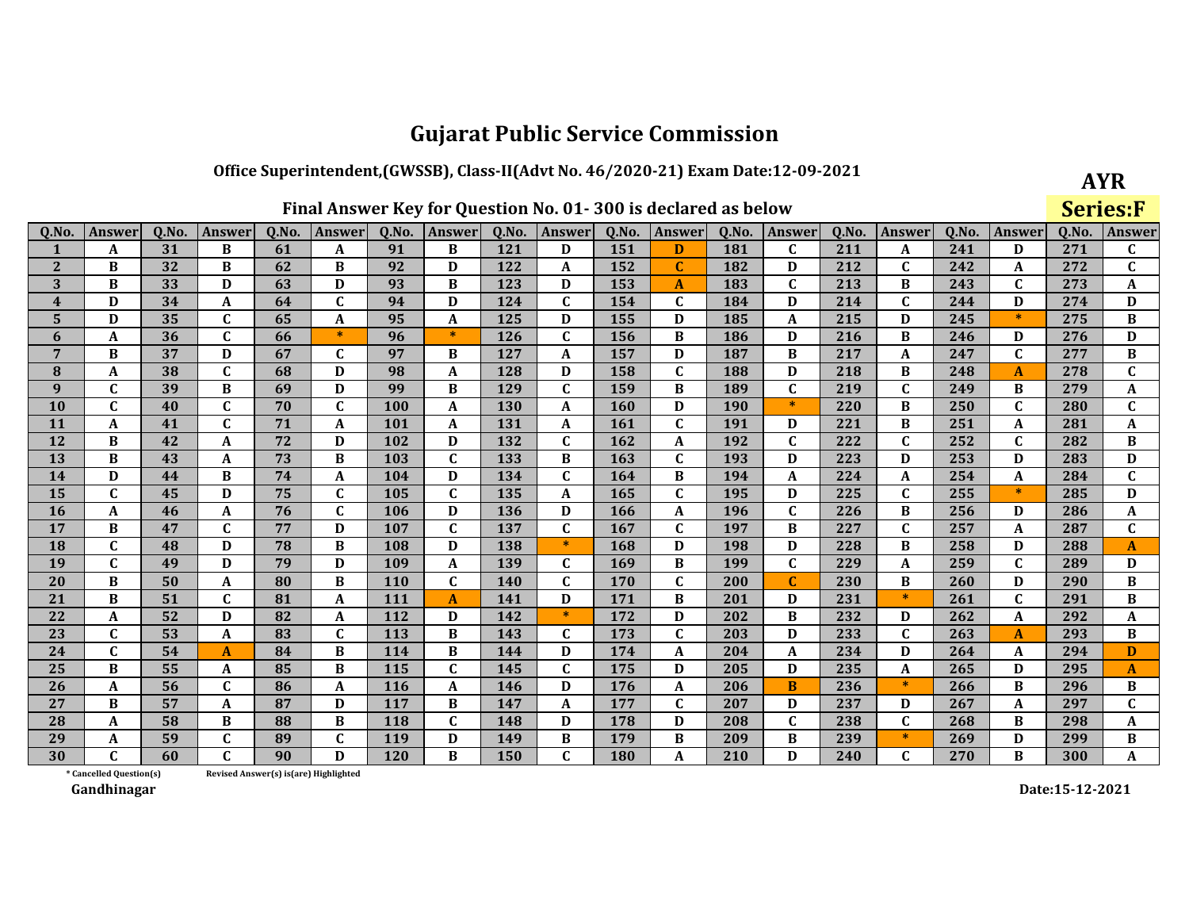## Office Superintendent, (GWSSB), Class-II(Advt No. 46/2020-21) Exam Date:12-09-2021

| Final Answer Key for Question No. 01-300 is declared as below |  |  |  |  |
|---------------------------------------------------------------|--|--|--|--|
|                                                               |  |  |  |  |

**AYR** 

|                         |                         |       |              |       |                                       |            |                  |       | Final Answer Key for Question No. 01-300 is declared as below |       |              |            |              |       |              |       |              | <b>Series:F</b> |              |
|-------------------------|-------------------------|-------|--------------|-------|---------------------------------------|------------|------------------|-------|---------------------------------------------------------------|-------|--------------|------------|--------------|-------|--------------|-------|--------------|-----------------|--------------|
| Q.No.                   | Answer                  | Q.No. | Answer       | Q.No. | Answer                                | Q.No.      | Answer           | Q.No. | Answer                                                        | Q.No. | Answer       | Q.No.      | Answer       | Q.No. | Answer       | Q.No. | Answer       | Q.No.           | Answer       |
| 1                       | A                       | 31    | B            | 61    | A                                     | 91         | B                | 121   | D                                                             | 151   | D            | 181        | $\mathbf{C}$ | 211   | A            | 241   | D            | 271             | C            |
| $\mathbf{2}$            | $\, {\bf B}$            | 32    | B            | 62    | B                                     | 92         | D                | 122   | A                                                             | 152   | $\mathbf{C}$ | 182        | D            | 212   | $\mathbf C$  | 242   | A            | 272             | $\mathbf{C}$ |
| 3                       | B                       | 33    | D            | 63    | D                                     | 93         | $\bf{B}$         | 123   | D                                                             | 153   | A            | 183        | $\mathbf{C}$ | 213   | B            | 243   | $\mathbf C$  | 273             | A            |
| $\overline{\mathbf{4}}$ | D                       | 34    | A            | 64    | $\mathbf{C}$                          | 94         | D                | 124   | $\mathbf{C}$                                                  | 154   | $\mathbf{C}$ | 184        | D            | 214   | $\mathbf C$  | 244   | D            | 274             | D            |
| $5\phantom{.}$          | D                       | 35    | $\mathbf C$  | 65    | A                                     | 95         | $\mathbf A$      | 125   | D                                                             | 155   | D            | 185        | A            | 215   | D            | 245   | $\ast$       | 275             | B            |
| 6                       | A                       | 36    | $\mathbf C$  | 66    | $\ast$                                | 96         | $\ast$           | 126   | $\mathbf C$                                                   | 156   | B            | 186        | D            | 216   | B            | 246   | D            | 276             | D            |
| $\overline{7}$          | B                       | 37    | D            | 67    | C                                     | 97         | B                | 127   | A                                                             | 157   | D            | 187        | B            | 217   | A            | 247   | $\mathbf C$  | 277             | B            |
| 8                       | A                       | 38    | C            | 68    | D                                     | 98         | A                | 128   | D                                                             | 158   | $\mathbf{C}$ | 188        | D            | 218   | В            | 248   | A            | 278             | $\mathbf{C}$ |
| $\boldsymbol{9}$        | $\mathbf{C}$            | 39    | B            | 69    | D                                     | 99         | $\bf{B}$         | 129   | $\mathbf C$                                                   | 159   | B            | 189        | $\mathbf{C}$ | 219   | $\mathbf C$  | 249   | B            | 279             | A            |
| 10                      | $\mathbf{C}$            | 40    | $\mathbf C$  | 70    | C                                     | 100        | A                | 130   | A                                                             | 160   | D            | <b>190</b> | $\ast$       | 220   | B            | 250   | $\mathbf C$  | 280             | $\mathbf C$  |
| 11                      | A                       | 41    | $\mathbf{C}$ | 71    | A                                     | 101        | A                | 131   | A                                                             | 161   | $\mathbf C$  | 191        | D            | 221   | B            | 251   | A            | 281             | A            |
| 12                      | B                       | 42    | A            | 72    | D                                     | 102        | D                | 132   | $\mathbf{C}$                                                  | 162   | A            | 192        | $\mathbf{C}$ | 222   | $\mathbf C$  | 252   | $\mathbf{C}$ | 282             | B            |
| 13                      | B                       | 43    | A            | 73    | B                                     | 103        | $\mathbf{C}$     | 133   | B                                                             | 163   | C            | 193        | D            | 223   | D            | 253   | D            | 283             | D            |
| 14                      | D                       | 44    | B            | 74    | A                                     | 104        | D                | 134   | $\mathbf{C}$                                                  | 164   | B            | 194        | A            | 224   | A            | 254   | A            | 284             | $\mathbf{C}$ |
| 15                      | $\mathbf C$             | 45    | D            | 75    | C                                     | 105        | $\mathbf c$      | 135   | A                                                             | 165   | $\mathbf{C}$ | 195        | D            | 225   | $\mathbf C$  | 255   | $\ast$       | 285             | D            |
| <b>16</b>               | A                       | 46    | A            | 76    | $\mathbf{C}$                          | 106        | D                | 136   | D                                                             | 166   | A            | 196        | $\mathbf{C}$ | 226   | B            | 256   | D            | 286             | A            |
| 17                      | B                       | 47    | $\mathbf C$  | 77    | D                                     | 107        | $\mathbf C$      | 137   | $\mathbf C$                                                   | 167   | $\mathbf{C}$ | 197        | B            | 227   | $\mathbf C$  | 257   | A            | 287             | $\mathbf C$  |
| 18                      | $\mathbf C$             | 48    | D            | 78    | B                                     | 108        | D                | 138   | $\ast$                                                        | 168   | D            | 198        | D            | 228   | B            | 258   | D            | 288             | A            |
| 19                      | $\mathbf{C}$            | 49    | D            | 79    | D                                     | 109        | $\boldsymbol{A}$ | 139   | $\mathbf{C}$                                                  | 169   | B            | 199        | $\mathbf C$  | 229   | A            | 259   | $\mathbf C$  | 289             | D            |
| 20                      | $\bf{B}$                | 50    | A            | 80    | B                                     | <b>110</b> | $\mathbf C$      | 140   | C                                                             | 170   | $\mathbf{C}$ | 200        | $\mathbf C$  | 230   | B            | 260   | D            | 290             | В            |
| 21                      | $\bf{B}$                | 51    | $\mathbf{C}$ | 81    | A                                     | 111        | $\mathbf{A}$     | 141   | D                                                             | 171   | B            | 201        | D            | 231   | $\ast$       | 261   | $\mathbf C$  | 291             | $\, {\bf B}$ |
| 22                      | A                       | 52    | D            | 82    | A                                     | 112        | D                | 142   | $\ast$                                                        | 172   | D            | 202        | B            | 232   | D            | 262   | A            | 292             | A            |
| 23                      | $\mathbf C$             | 53    | $\mathbf{A}$ | 83    | $\mathbf C$                           | 113        | $\, {\bf B}$     | 143   | C                                                             | 173   | $\mathbf{C}$ | 203        | D            | 233   | $\mathbf C$  | 263   | $\mathbf{A}$ | 293             | $\, {\bf B}$ |
| 24                      | $\mathbf{C}$            | 54    | A            | 84    | B                                     | 114        | B                | 144   | D                                                             | 174   | A            | 204        | A            | 234   | D            | 264   | A            | 294             | D            |
| 25                      | $\bf{B}$                | 55    | A            | 85    | $\, {\bf B}$                          | 115        | $\mathbf{C}$     | 145   | $\mathbf C$                                                   | 175   | D            | 205        | D            | 235   | $\mathbf A$  | 265   | D            | 295             | A            |
| 26                      | A                       | 56    | $\mathbf{C}$ | 86    | A                                     | 116        | A                | 146   | D                                                             | 176   | A            | 206        | $\bf{B}$     | 236   | $\ast$       | 266   | B            | 296             | B            |
| 27                      | B                       | 57    | $\mathbf{A}$ | 87    | D                                     | 117        | B                | 147   | A                                                             | 177   | C            | 207        | D            | 237   | D            | 267   | A            | 297             | $\mathbf{C}$ |
| 28                      | A                       | 58    | B            | 88    | B                                     | 118        | $\mathbf C$      | 148   | D                                                             | 178   | D            | 208        | $\mathbf{C}$ | 238   | $\mathbf{C}$ | 268   | B            | 298             | A            |
| 29                      | A                       | 59    | $\mathbf C$  | 89    | $\mathbf{C}$                          | 119        | D                | 149   | B                                                             | 179   | B            | 209        | B            | 239   | $\ast$       | 269   | D            | 299             | B            |
| 30                      | $\mathbf{C}$            | 60    | $\mathsf{C}$ | 90    | D                                     | 120        | B                | 150   | $\mathbf{C}$                                                  | 180   | A            | 210        | D            | 240   | $\mathbf C$  | 270   | B            | 300             | A            |
|                         | * Cancelled Question(s) |       |              |       | Revised Answer(s) is(are) Highlighted |            |                  |       |                                                               |       |              |            |              |       |              |       |              |                 |              |

Revised Answer(s) is(are) Highlighted

Gandhinagar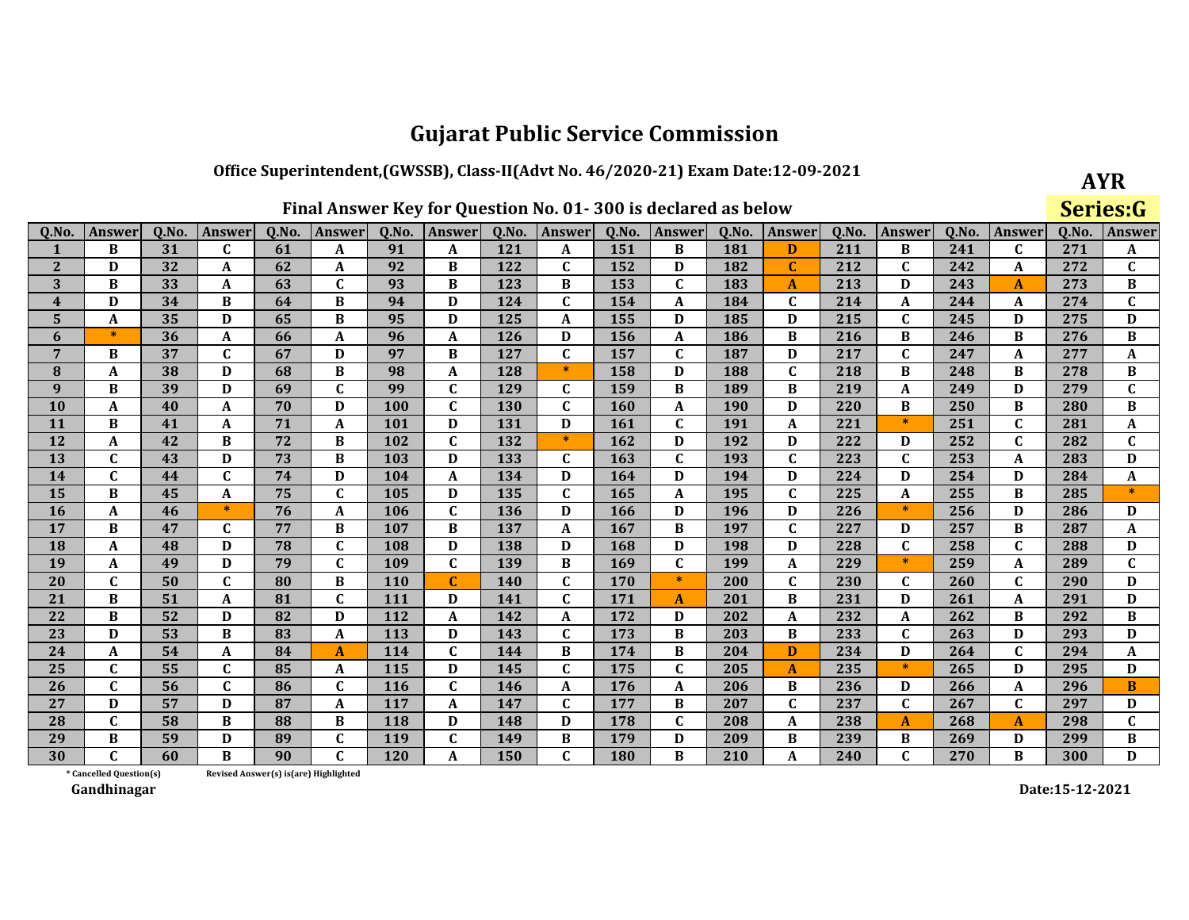### Office Superintendent, (GWSSB), Class-II(Advt No. 46/2020-21) Exam Date:12-09-2021

|  |  | Final Answer Key for Question No. 01-300 is declared as below |  |
|--|--|---------------------------------------------------------------|--|
|--|--|---------------------------------------------------------------|--|

| AYR      |
|----------|
| Series:G |

| 0.No.                   | Answer                  | 0.No. | <b>Answer</b>    | 0.No. | <b>Answer</b>                         | 0.No.      | Answer       | 0.No.      | Answer       | 0.No. | <b>Answer</b> | 0.No.      | Answer       | 0.No. | Answer       | 0.No. | <b>Answer</b> | 0.No. | Answer         |
|-------------------------|-------------------------|-------|------------------|-------|---------------------------------------|------------|--------------|------------|--------------|-------|---------------|------------|--------------|-------|--------------|-------|---------------|-------|----------------|
| 1                       | B                       | 31    | C                | 61    | A                                     | 91         | A            | 121        | A            | 151   | B             | 181        | D            | 211   | B            | 241   | C             | 271   | A              |
| $\overline{2}$          | D                       | 32    | A                | 62    | A                                     | 92         | B            | 122        | $\mathbf{C}$ | 152   | D             | 182        | C            | 212   | $\mathbf{C}$ | 242   | A             | 272   | $\mathbf{C}$   |
| 3                       | B                       | 33    | $\boldsymbol{A}$ | 63    | $\mathbf{C}$                          | 93         | B            | 123        | B            | 153   | $\mathbf{C}$  | 183        | $\mathbf{A}$ | 213   | D            | 243   | $\mathbf{A}$  | 273   | $\, {\bf B}$   |
| $\overline{\mathbf{4}}$ | D                       | 34    | B                | 64    | B                                     | 94         | D            | 124        | $\mathbf{C}$ | 154   | A             | 184        | $\mathbf C$  | 214   | $\mathbf A$  | 244   | A             | 274   | $\mathbf C$    |
| 5                       | A                       | 35    | D                | 65    | B                                     | 95         | D            | 125        | A            | 155   | D             | 185        | D            | 215   | $\mathbf{C}$ | 245   | D             | 275   | D              |
| 6                       | $\ast$                  | 36    | A                | 66    | A                                     | 96         | $\mathbf{A}$ | 126        | D            | 156   | A             | 186        | B            | 216   | B            | 246   | B             | 276   | B              |
| 7                       | B                       | 37    | $\mathbf C$      | 67    | D                                     | 97         | B            | 127        | $\mathbf{C}$ | 157   | $\mathbf C$   | 187        | D            | 217   | $\mathbf C$  | 247   | A             | 277   | A              |
| 8                       | A                       | 38    | D                | 68    | B                                     | 98         | A            | 128        | $\ast$       | 158   | D             | 188        | $\mathbf{C}$ | 218   | B            | 248   | B             | 278   | B              |
| 9                       | B                       | 39    | D                | 69    | $\mathbf{C}$                          | 99         | $\mathbf{C}$ | 129        | $\mathbf{C}$ | 159   | B             | 189        | B            | 219   | $\mathbf A$  | 249   | D             | 279   | $\overline{c}$ |
| 10                      | A                       | 40    | A                | 70    | D                                     | 100        | $\mathbf{C}$ | 130        | $\mathbf{C}$ | 160   | A             | <b>190</b> | D            | 220   | B            | 250   | B             | 280   | B              |
| 11                      | B                       | 41    | A                | 71    | A                                     | 101        | D            | 131        | D            | 161   | $\mathbf{C}$  | 191        | A            | 221   | $\ast$       | 251   | $\mathbf C$   | 281   | A              |
| 12                      | A                       | 42    | B                | 72    | B                                     | 102        | $\mathbf{C}$ | 132        | $\ast$       | 162   | D             | 192        | D            | 222   | D            | 252   | $\mathbf C$   | 282   | $\mathbf C$    |
| 13                      | $\mathbf{C}$            | 43    | D                | 73    | B                                     | 103        | D            | 133        | $\mathbf{C}$ | 163   | $\mathbf{C}$  | 193        | $\mathbf{C}$ | 223   | $\mathbf{C}$ | 253   | A             | 283   | D              |
| 14                      | $\mathbf{C}$            | 44    | $\mathbf{C}$     | 74    | D                                     | 104        | $\mathbf A$  | 134        | D            | 164   | D             | 194        | D            | 224   | D            | 254   | D             | 284   | $\mathbf A$    |
| 15                      | B                       | 45    | $\mathbf{A}$     | 75    | $\mathbf{C}$                          | 105        | D            | 135        | $\mathbf{C}$ | 165   | A             | 195        | $\mathbf C$  | 225   | $\mathbf{A}$ | 255   | $\bf{B}$      | 285   | $\ast$         |
| 16                      | A                       | 46    | $\ast$           | 76    | A                                     | 106        | $\mathbf C$  | 136        | D            | 166   | D             | 196        | D            | 226   | $*$          | 256   | D             | 286   | D              |
| 17                      | B                       | 47    | $\mathbf{C}$     | 77    | B                                     | 107        | B            | 137        | A            | 167   | B             | 197        | $\mathbf{C}$ | 227   | D            | 257   | B             | 287   | A              |
| 18                      | A                       | 48    | D                | 78    | $\mathbf{C}$                          | 108        | D            | 138        | D            | 168   | D             | 198        | D            | 228   | $\mathbf{C}$ | 258   | $\mathbf C$   | 288   | D              |
| 19                      | A                       | 49    | D                | 79    | $\mathbf{C}$                          | 109        | $\mathbf{C}$ | 139        | B            | 169   | $\mathbf{C}$  | 199        | A            | 229   | $*$          | 259   | A             | 289   | $\mathbf C$    |
| 20                      | C                       | 50    | $\mathbf C$      | 80    | B                                     | <b>110</b> | $\mathbf{C}$ | <b>140</b> | $\mathbf{C}$ | 170   | $\ast$        | 200        | $\mathbf{C}$ | 230   | C            | 260   | $\mathbf{C}$  | 290   | D              |
| 21                      | B                       | 51    | A                | 81    | $\mathbf{C}$                          | 111        | D            | 141        | $\mathbf{C}$ | 171   | A             | 201        | B            | 231   | D            | 261   | A             | 291   | D              |
| 22                      | B                       | 52    | D                | 82    | D                                     | 112        | A            | 142        | A            | 172   | D             | 202        | A            | 232   | A            | 262   | B             | 292   | $\, {\bf B}$   |
| 23                      | D                       | 53    | B                | 83    | A                                     | 113        | D            | 143        | $\mathbf{C}$ | 173   | B             | 203        | B            | 233   | $\mathbf{C}$ | 263   | D             | 293   | D              |
| 24                      | A                       | 54    | $\boldsymbol{A}$ | 84    | $\overline{A}$                        | 114        | $\mathbf C$  | 144        | B            | 174   | B             | 204        | D            | 234   | D            | 264   | $\mathbf c$   | 294   | A              |
| 25                      | $\mathbf C$             | 55    | $\mathbf C$      | 85    | A                                     | 115        | D            | 145        | $\mathbf C$  | 175   | $\mathbf C$   | 205        | A            | 235   | $\ast$       | 265   | D             | 295   | D              |
| 26                      | $\mathbf{C}$            | 56    | $\mathbf C$      | 86    | C                                     | <b>116</b> | $\mathbf{C}$ | 146        | A            | 176   | A             | 206        | B            | 236   | D            | 266   | A             | 296   | $\bf{B}$       |
| 27                      | D                       | 57    | D                | 87    | A                                     | 117        | $\mathbf{A}$ | 147        | $\mathbf{C}$ | 177   | B             | 207        | $\mathbf{C}$ | 237   | $\mathbf{C}$ | 267   | $\mathbf C$   | 297   | D              |
| 28                      | $\mathbf C$             | 58    | B                | 88    | B                                     | 118        | D            | 148        | D            | 178   | $\mathbf{C}$  | 208        | A            | 238   | $\mathbf{A}$ | 268   | $\mathbf{A}$  | 298   | $\mathbf{C}$   |
| 29                      | B                       | 59    | D                | 89    | $\mathbf{C}$                          | 119        | $\mathbf{C}$ | 149        | B            | 179   | D             | 209        | B            | 239   | B            | 269   | D             | 299   | B              |
| 30                      | C                       | 60    | <sub>R</sub>     | 90    | $\mathbf{C}$                          | 120        | A            | 150        | $\mathbf{C}$ | 180   | $\bf{B}$      | 210        | A            | 240   | $\mathbf{C}$ | 270   | B             | 300   | D              |
|                         | * Cancelled Question(s) |       |                  |       | Revised Answer(s) is(are) Highlighted |            |              |            |              |       |               |            |              |       |              |       |               |       |                |

Revised Answer(s) is(are) Highlighted

Gandhinagar